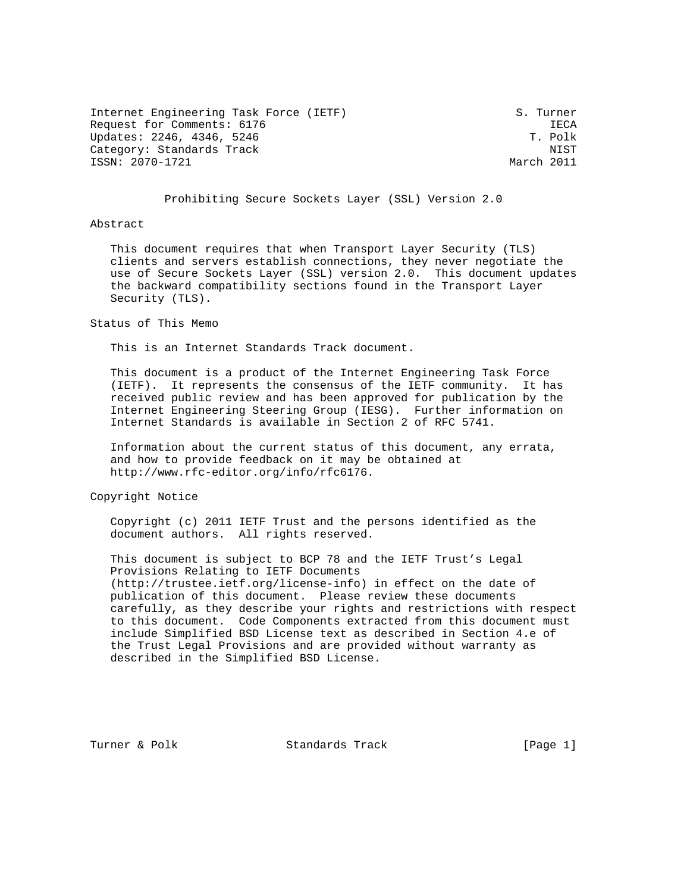Internet Engineering Task Force (IETF) S. Turner Request for Comments: 6176 IECA Updates: 2246, 4346, 5246 Category: Standards Track NIST (North 2011)<br>ISSN: 2070-1721 March 2011 ISSN: 2070-1721

#### Prohibiting Secure Sockets Layer (SSL) Version 2.0

Abstract

 This document requires that when Transport Layer Security (TLS) clients and servers establish connections, they never negotiate the use of Secure Sockets Layer (SSL) version 2.0. This document updates the backward compatibility sections found in the Transport Layer Security (TLS).

Status of This Memo

This is an Internet Standards Track document.

 This document is a product of the Internet Engineering Task Force (IETF). It represents the consensus of the IETF community. It has received public review and has been approved for publication by the Internet Engineering Steering Group (IESG). Further information on Internet Standards is available in Section 2 of RFC 5741.

 Information about the current status of this document, any errata, and how to provide feedback on it may be obtained at http://www.rfc-editor.org/info/rfc6176.

Copyright Notice

 Copyright (c) 2011 IETF Trust and the persons identified as the document authors. All rights reserved.

 This document is subject to BCP 78 and the IETF Trust's Legal Provisions Relating to IETF Documents (http://trustee.ietf.org/license-info) in effect on the date of publication of this document. Please review these documents carefully, as they describe your rights and restrictions with respect to this document. Code Components extracted from this document must include Simplified BSD License text as described in Section 4.e of the Trust Legal Provisions and are provided without warranty as described in the Simplified BSD License.

Turner & Polk Standards Track [Page 1]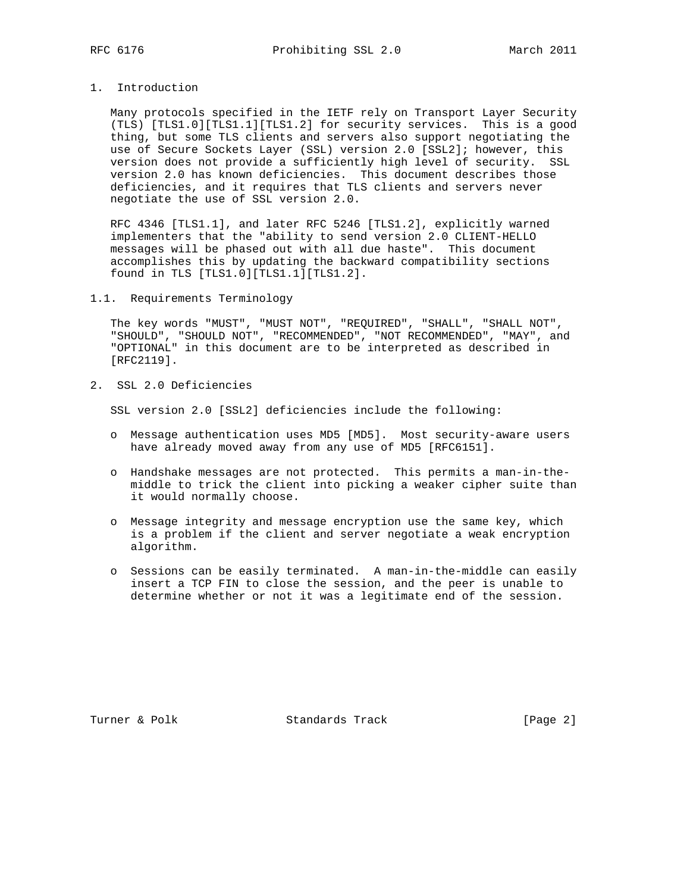# 1. Introduction

 Many protocols specified in the IETF rely on Transport Layer Security (TLS) [TLS1.0][TLS1.1][TLS1.2] for security services. This is a good thing, but some TLS clients and servers also support negotiating the use of Secure Sockets Layer (SSL) version 2.0 [SSL2]; however, this version does not provide a sufficiently high level of security. SSL version 2.0 has known deficiencies. This document describes those deficiencies, and it requires that TLS clients and servers never negotiate the use of SSL version 2.0.

 RFC 4346 [TLS1.1], and later RFC 5246 [TLS1.2], explicitly warned implementers that the "ability to send version 2.0 CLIENT-HELLO messages will be phased out with all due haste". This document accomplishes this by updating the backward compatibility sections found in TLS [TLS1.0][TLS1.1][TLS1.2].

#### 1.1. Requirements Terminology

 The key words "MUST", "MUST NOT", "REQUIRED", "SHALL", "SHALL NOT", "SHOULD", "SHOULD NOT", "RECOMMENDED", "NOT RECOMMENDED", "MAY", and "OPTIONAL" in this document are to be interpreted as described in [RFC2119].

2. SSL 2.0 Deficiencies

SSL version 2.0 [SSL2] deficiencies include the following:

- o Message authentication uses MD5 [MD5]. Most security-aware users have already moved away from any use of MD5 [RFC6151].
- o Handshake messages are not protected. This permits a man-in-the middle to trick the client into picking a weaker cipher suite than it would normally choose.
- o Message integrity and message encryption use the same key, which is a problem if the client and server negotiate a weak encryption algorithm.
- o Sessions can be easily terminated. A man-in-the-middle can easily insert a TCP FIN to close the session, and the peer is unable to determine whether or not it was a legitimate end of the session.

Turner & Polk Standards Track [Page 2]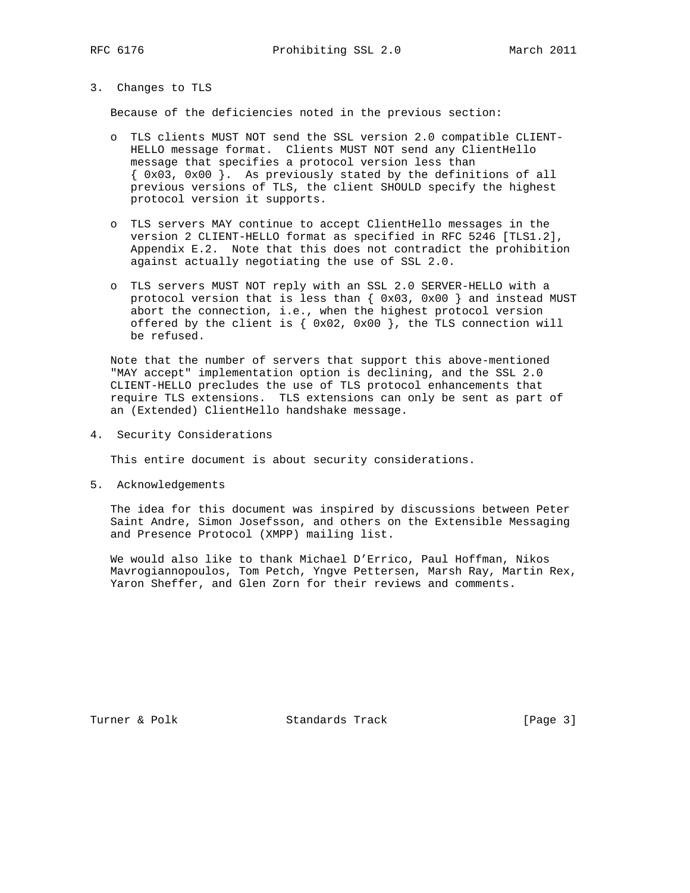### 3. Changes to TLS

Because of the deficiencies noted in the previous section:

- o TLS clients MUST NOT send the SSL version 2.0 compatible CLIENT- HELLO message format. Clients MUST NOT send any ClientHello message that specifies a protocol version less than  $\{ 0x03, 0x00 \}$ . As previously stated by the definitions of all previous versions of TLS, the client SHOULD specify the highest protocol version it supports.
- o TLS servers MAY continue to accept ClientHello messages in the version 2 CLIENT-HELLO format as specified in RFC 5246 [TLS1.2], Appendix E.2. Note that this does not contradict the prohibition against actually negotiating the use of SSL 2.0.
- o TLS servers MUST NOT reply with an SSL 2.0 SERVER-HELLO with a protocol version that is less than { 0x03, 0x00 } and instead MUST abort the connection, i.e., when the highest protocol version offered by the client is  $\{ 0x02, 0x00 \}$ , the TLS connection will be refused.

 Note that the number of servers that support this above-mentioned "MAY accept" implementation option is declining, and the SSL 2.0 CLIENT-HELLO precludes the use of TLS protocol enhancements that require TLS extensions. TLS extensions can only be sent as part of an (Extended) ClientHello handshake message.

4. Security Considerations

This entire document is about security considerations.

5. Acknowledgements

 The idea for this document was inspired by discussions between Peter Saint Andre, Simon Josefsson, and others on the Extensible Messaging and Presence Protocol (XMPP) mailing list.

 We would also like to thank Michael D'Errico, Paul Hoffman, Nikos Mavrogiannopoulos, Tom Petch, Yngve Pettersen, Marsh Ray, Martin Rex, Yaron Sheffer, and Glen Zorn for their reviews and comments.

Turner & Polk Standards Track [Page 3]